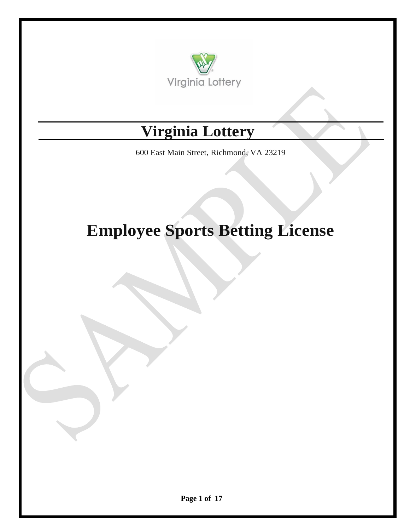

# **Virginia Lottery**

600 East Main Street, Richmond, VA 23219

# **Employee Sports Betting License**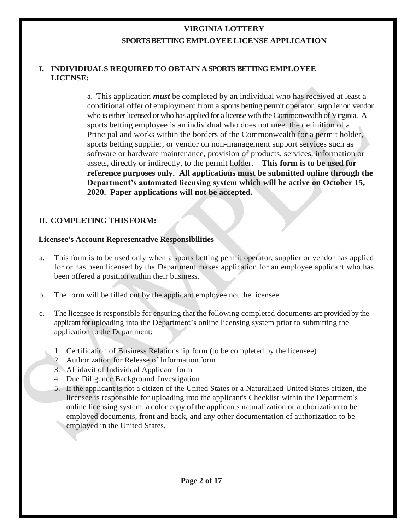# **VIRGINIA LOTTERY SPORTS BETTING EMPLOYEELICENSE APPLICATION**

#### **I. INDIVIDIUALS REQUIRED TO OBTAIN ASPORTS BETTING EMPLOYEE LICENSE:**

a. This application *must* be completed by an individual who has received at least a conditional offer of employment from a sports betting permit operator, supplier or vendor who is either licensed orwho has applied for a license with the Commonwealth of Virginia. A sports betting employee is an individual who does not meet the definition of a Principal and works within the borders of the Commonwealth for a permit holder, sports betting supplier, or vendor on non-management support services such as software or hardware maintenance, provision of products, services, information or assets, directly or indirectly, to the permit holder. **This form is to be used for reference purposes only. All applications must be submitted online through the Department's automated licensing system which will be active on October 15, 2020. Paper applications will not be accepted.** 

### **II. COMPLETING THISFORM:**

#### **Licensee's Account Representative Responsibilities**

- a. This form is to be used only when a sports betting permit operator, supplier or vendor has applied for or has been licensed by the Department makes application for an employee applicant who has been offered a position within their business.
- b. The form will be filled out by the applicant employee not the licensee.
- c. The licensee isresponsible for ensuring that the following completed documents are provided by the applicant for uploading into the Department's online licensing system prior to submitting the application to the Department:
	- 1. Certification of Business Relationship form (to be completed by the licensee)
	- 2. Authorization for Release of lnformation form
	- 3. Affidavit of Individual Applicant form
	- 4. Due Diligence Background Investigation
	- 5. If the applicant is not a citizen of the United States or a Naturalized United States citizen, the licensee is responsible for uploading into the applicant's Checklist within the Department's online licensing system, a color copy of the applicants naturalization or authorization to be employed documents, front and back, and any other documentation of authorization to be employed in the United States.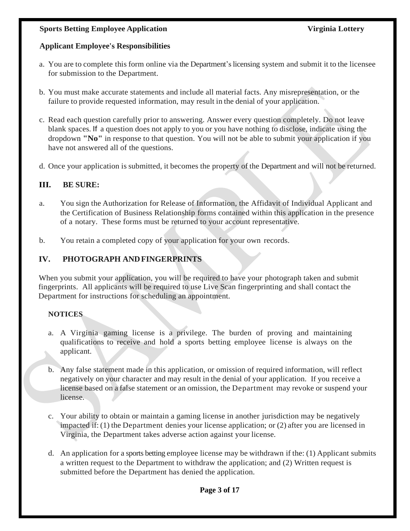#### **Sports Betting Employee Application Service Service Service Service Service Service Service Service Service Service Service Service Service Service Service Service Service Service Service Service Service Service Service S**

# **Applicant Employee's Responsibilities**

- a. You are to complete this form online via the Department's licensing system and submit it to the licensee for submission to the Department.
- b. You must make accurate statements and include all material facts. Any misrepresentation, or the failure to provide requested information, may result in the denial of your application.
- c. Read each question carefully prior to answering. Answer every question completely. Do not leave blank spaces. If a question does not apply to you or you have nothing to disclose, indicate using the dropdown **"No"** in response to that question. You will not be able to submit your application if you have not answered all of the questions.
- d. Once your application is submitted, it becomes the property of the Department and will not be returned.

# **III. BE SURE:**

- a. You sign the Authorization for Release of Information, the Affidavit of Individual Applicant and the Certification of Business Relationship forms contained within this application in the presence of a notary. These forms must be returned to your account representative.
- b. You retain a completed copy of your application for your own records.

# **IV. PHOTOGRAPH ANDFINGERPRINTS**

When you submit your application, you will be required to have your photograph taken and submit fingerprints. All applicants will be required to use Live Scan fingerprinting and shall contact the Department for instructions for scheduling an appointment.

# **NOTICES**

- a. A Virginia gaming license is a privilege. The burden of proving and maintaining qualifications to receive and hold a sports betting employee license is always on the applicant.
- b. Any false statement made in this application, or omission of required information, will reflect negatively on your character and may result in the denial of your application. If you receive a license based on a false statement or an omission, the Department may revoke or suspend your license.
- c. Your ability to obtain or maintain a gaming license in another jurisdiction may be negatively impacted if: (1) the Department denies your license application; or (2) after you are licensed in Virginia, the Department takes adverse action against your license.
- d. An application for a sports betting employee license may be withdrawn if the: (1) Applicant submits a written request to the Department to withdraw the application; and (2) Written request is submitted before the Department has denied the application.

#### **Page 3 of 17**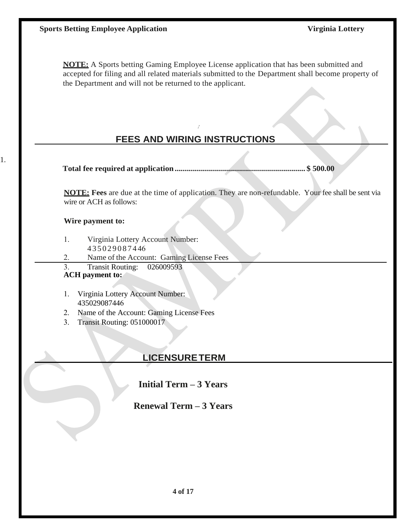**NOTE:** A Sports betting Gaming Employee License application that has been submitted and accepted for filing and all related materials submitted to the Department shall become property of the Department and will not be returned to the applicant.

# **FEES AND WIRING INSTRUCTIONS**

,

**Total fee required at application................................................................. \$ 500.00**

**NOTE: Fees** are due at the time of application. They are non-refundable. Your fee shall be sent via wire or ACH as follows:

#### **Wire payment to:**

1.

- 1. Virginia Lottery Account Number: 4 3 5 0 2 9 0 8 7 4 46
	-
- 2. Name of the Account: Gaming License Fees
- 3. Transit Routing: 026009593

#### **ACH payment to:**

- 1. Virginia Lottery Account Number: 435029087446
- 2. Name of the Account: Gaming License Fees
- 3. Transit Routing: 051000017

# **LICENSURETERM**

**Initial Term – 3 Years**

**Renewal Term – 3 Years**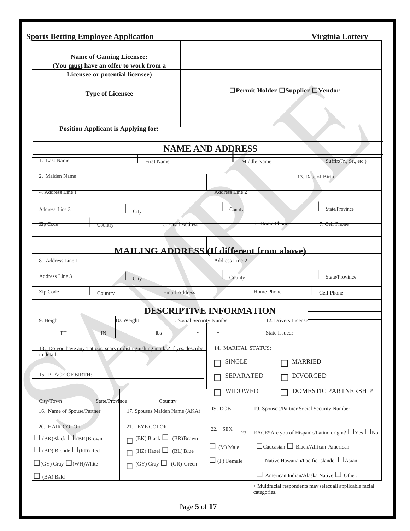|                                                                           | <b>Sports Betting Employee Application</b>                                   |                                |                                                | <b>Virginia Lottery</b>                                                                                    |
|---------------------------------------------------------------------------|------------------------------------------------------------------------------|--------------------------------|------------------------------------------------|------------------------------------------------------------------------------------------------------------|
| <b>Name of Gaming Licensee:</b><br>(You must have an offer to work from a |                                                                              |                                |                                                |                                                                                                            |
| Licensee or potential licensee)                                           |                                                                              |                                |                                                |                                                                                                            |
| <b>Type of Licensee</b>                                                   |                                                                              |                                | □Permit Holder □Supplier □Vendor               |                                                                                                            |
| <b>Position Applicant is Applying for:</b>                                |                                                                              |                                |                                                |                                                                                                            |
|                                                                           |                                                                              | <b>NAME AND ADDRESS</b>        |                                                |                                                                                                            |
| I. Last Name                                                              | <b>First Name</b>                                                            |                                | Middle Name                                    | Suffix(Jr., Sr., etc.)                                                                                     |
| 2. Maiden Name                                                            |                                                                              |                                |                                                | 13. Date of Birth                                                                                          |
| 4. Address Line I                                                         |                                                                              | Address Line 2                 |                                                |                                                                                                            |
|                                                                           |                                                                              |                                |                                                |                                                                                                            |
| Address Line 3                                                            | City                                                                         | County                         |                                                | State/Province                                                                                             |
| <del>Zip Code</del><br>Country                                            | э. ешин Addies                                                               |                                |                                                |                                                                                                            |
| Address Line 3                                                            | City                                                                         | County                         |                                                | State/Province                                                                                             |
|                                                                           |                                                                              |                                | Home Phone                                     |                                                                                                            |
| Zip Code<br>Country                                                       | <b>Email Address</b>                                                         |                                |                                                | Cell Phone                                                                                                 |
|                                                                           |                                                                              | <b>DESCRIPTIVE INFORMATION</b> |                                                |                                                                                                            |
| 9. Height                                                                 | 10. Weight                                                                   | 11. Social Security Number     | 12. Drivers License                            |                                                                                                            |
| FT<br>IN                                                                  | 1bs                                                                          |                                | State Issued:                                  |                                                                                                            |
| in detail:                                                                | 13. Do you have any Tattoos, scars or distinguishing marks? If yes, describe | 14. MARITAL STATUS:            |                                                |                                                                                                            |
|                                                                           |                                                                              | <b>SINGLE</b>                  |                                                | <b>MARRIED</b>                                                                                             |
| 15. PLACE OF BIRTH:                                                       |                                                                              | <b>SEPARATED</b>               |                                                | <b>DIVORCED</b>                                                                                            |
|                                                                           |                                                                              | WIDOWED                        |                                                | <b>DOMESTIC PARTNERSHIP</b>                                                                                |
| State/Province<br>City/Town                                               | Country                                                                      | IS. DOB                        | 19. Spouse's/Partner Social Security Number    |                                                                                                            |
| 16. Name of Spouse/Partner<br>20. HAIR COLOR                              | 17. Spouses Maiden Name (AKA)<br>21. EYE COLOR                               | 22. SEX<br>23                  |                                                |                                                                                                            |
| $(BK)Black$ (BR) Brown                                                    | $(BK)$ Black $\Box$<br>(BR) Brown                                            |                                |                                                | RACE*Are you of Hispanic/Latino origin? □ Yes □ No                                                         |
| $\Box$ (BD) Blonde $\Box$ (RD) Red                                        | (HZ) Hazel $\Box$<br>(BL) Blue<br>Г                                          | $\Box$ (M) Male                | $\Box$ Caucasian $\Box$ Black/African American |                                                                                                            |
| $\Box$ (GY) Gray $\Box$ (WH)White<br>(BA) Bald                            | $(GY)$ Gray $\Box$ (GR) Green                                                | $\Box$ (F) Female              |                                                | $\Box$ Native Hawaiian/Pacific Islander $\Box$ Asian<br>$\Box$ American Indian/Alaska Native $\Box$ Other: |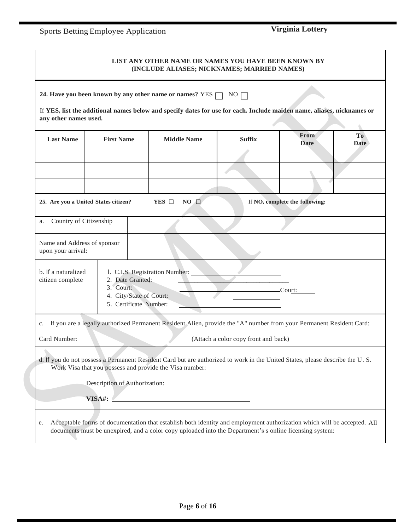# Sports Betting Employee Application **Virginia Lottery**

|                                                   |                                                                                    | LIST ANY OTHER NAME OR NAMES YOU HAVE BEEN KNOWN BY<br>(INCLUDE ALIASES; NICKNAMES; MARRIED NAMES)                                                                                                                                 |                                      |                                |                               |
|---------------------------------------------------|------------------------------------------------------------------------------------|------------------------------------------------------------------------------------------------------------------------------------------------------------------------------------------------------------------------------------|--------------------------------------|--------------------------------|-------------------------------|
| any other names used.                             |                                                                                    | 24. Have you been known by any other name or names? YES $\Box$ NO $\Box$<br>If YES, list the additional names below and specify dates for use for each. Include maiden name, aliases, nicknames or                                 |                                      |                                |                               |
| <b>Last Name</b>                                  | <b>First Name</b>                                                                  | <b>Middle Name</b>                                                                                                                                                                                                                 | <b>Suffix</b>                        | From<br><b>Date</b>            | T <sub>o</sub><br><b>Date</b> |
|                                                   |                                                                                    |                                                                                                                                                                                                                                    |                                      |                                |                               |
| 25. Are you a United States citizen?              |                                                                                    | YES $\Box$<br>$NO$ $\Box$                                                                                                                                                                                                          |                                      | If NO, complete the following: |                               |
| Country of Citizenship<br>a.                      |                                                                                    |                                                                                                                                                                                                                                    |                                      |                                |                               |
| Name and Address of sponsor<br>upon your arrival: |                                                                                    |                                                                                                                                                                                                                                    |                                      |                                |                               |
| b. If a naturalized<br>citizen complete           | 2. Date Granted:<br>3. Court:<br>4. City/State of Court:<br>5. Certificate Number: | 1. C.I.S. Registration Number:                                                                                                                                                                                                     |                                      | .Court:                        |                               |
| c.                                                |                                                                                    | If you are a legally authorized Permanent Resident Alien, provide the "A" number from your Permanent Resident Card:                                                                                                                |                                      |                                |                               |
| Card Number:                                      |                                                                                    |                                                                                                                                                                                                                                    | (Attach a color copy front and back) |                                |                               |
|                                                   |                                                                                    | d. If you do not possess a Permanent Resident Card but are authorized to work in the United States, please describe the U.S.<br>Work Visa that you possess and provide the Visa number:                                            |                                      |                                |                               |
|                                                   | Description of Authorization:                                                      |                                                                                                                                                                                                                                    |                                      |                                |                               |
|                                                   |                                                                                    | VISA#:                                                                                                                                                                                                                             |                                      |                                |                               |
| e.                                                |                                                                                    | Acceptable forms of documentation that establish both identity and employment authorization which will be accepted. All<br>documents must be unexpired, and a color copy uploaded into the Department's s online licensing system: |                                      |                                |                               |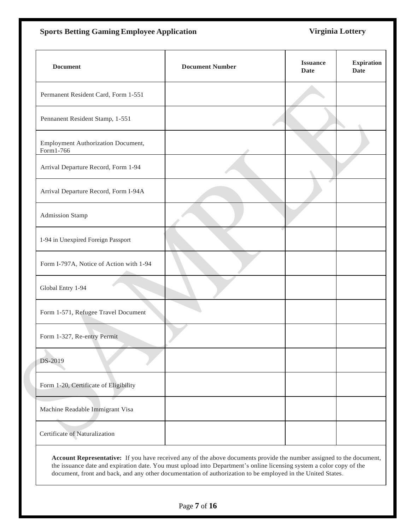## **Sports Betting Gaming Employee Application Virginia Lottery**

| <b>Document</b>                                 | <b>Document Number</b> | <b>Issuance</b><br><b>Date</b> | <b>Expiration</b><br><b>Date</b> |
|-------------------------------------------------|------------------------|--------------------------------|----------------------------------|
| Permanent Resident Card, Form 1-551             |                        |                                |                                  |
| Pennanent Resident Stamp, 1-551                 |                        |                                |                                  |
| Employment Authorization Document,<br>Form1-766 |                        |                                |                                  |
| Arrival Departure Record, Form 1-94             |                        |                                |                                  |
| Arrival Departure Record, Form I-94A            |                        |                                |                                  |
| <b>Admission Stamp</b>                          |                        |                                |                                  |
| 1-94 in Unexpired Foreign Passport              |                        |                                |                                  |
| Form I-797A, Notice of Action with 1-94         |                        |                                |                                  |
| Global Entry 1-94                               |                        |                                |                                  |
| Form 1-571, Refugee Travel Document             |                        |                                |                                  |
| Form 1-327, Re-entry Permit                     |                        |                                |                                  |
| DS-2019                                         |                        |                                |                                  |
| Form 1-20, Certificate of Eligibility           |                        |                                |                                  |
| Machine Readable Immigrant Visa                 |                        |                                |                                  |
| Certificate of Naturalization                   |                        |                                |                                  |

**Account Representative:** If you have received any of the above documents provide the number assigned to the document, the issuance date and expiration date. You must upload into Department's online licensing system a color copy of the document, front and back, and any other documentation of authorization to be employed in the United States.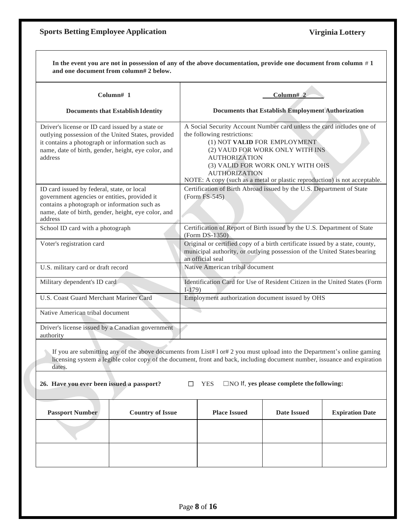#### **Sports BettingEmployee Application Virginia Lottery**

In the event you are not in possession of any of the above documentation, provide one document from column  $# 1$ **and one document from column# 2 below. Column# 1 Documents that Establish Identity Column# 2 Documents that Establish Employment Authorization** Driver's license or ID card issued by a state or outlying possession of the United States, provided it contains a photograph or information such as name, date of birth, gender, height, eye color, and address A Social Security Account Number card unless the card includes one of the following restrictions: (1) NOT **VALID** FOR EMPLOYMENT (2) VAUD FOR WORK ONLY WITH INS AUTHORIZATION (3) VALID FOR WORK ONLY WITH OHS AUTHORIZATION NOTE: A copy (such as a metal or plastic reproduction) is not acceptable. ID card issued by federal, state, or local government agencies or entities, provided it contains a photograph or information such as name, date of birth, gender, height, eye color, and address Certification of Birth Abroad issued by the U.S. Department of State (Form FS-545) School ID card with a photograph Certification of Report of Birth issued by the U.S. Department of State (Form DS-1350) Voter's registration card Original or certified copy of a birth certificate issued by a state, county, municipal authority, or outlying possession of the United States bearing an official seal U.S. military card or draft record Native American tribal document Military dependent's ID card Identification Card for Use of Resident Citizen in the United States (Form I-179) U.S. Coast Guard Merchant Mariner Card Employment authorization document issued by OHS Native American tribal document Driver's license issued by a Canadian government authority If you are submitting any of the above documents from List#  $1$  or# 2 you must upload into the Department's online gaming licensing system a legible color copy of the document, front and back, including document number, issuance and expiration dates. **26. Have you ever been issued a passport?** ☐ YES ☐NO If, **yes please complete the following:**

| <b>Passport Number</b> | <b>Country of Issue</b> | <b>Place Issued</b> | <b>Date Issued</b> | <b>Expiration Date</b> |
|------------------------|-------------------------|---------------------|--------------------|------------------------|
|                        |                         |                     |                    |                        |
|                        |                         |                     |                    |                        |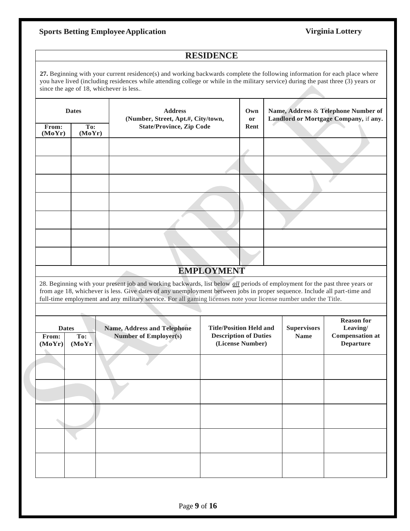# **Sports Betting EmployeeApplication Virginia Lottery**

### **RESIDENCE**

**27.** Beginning with your current residence(s) and working backwards complete the following information for each place where you have lived (including residences while attending college or while in the military service) during the past three (3) years or since the age of 18, whichever is less.*.*

|                 | <b>Dates</b>                  | <b>Address</b><br>(Number, Street, Apt.#, City/town,                                                                                                                                                                                                                                                                                                                         |                                                                                    | Own<br>or |  |                                   | Name, Address & Telephone Number of<br>Landlord or Mortgage Company, if any. |
|-----------------|-------------------------------|------------------------------------------------------------------------------------------------------------------------------------------------------------------------------------------------------------------------------------------------------------------------------------------------------------------------------------------------------------------------------|------------------------------------------------------------------------------------|-----------|--|-----------------------------------|------------------------------------------------------------------------------|
| From:<br>(MoYr) | To:<br>(MoYr)                 | <b>State/Province, Zip Code</b>                                                                                                                                                                                                                                                                                                                                              |                                                                                    | Rent      |  |                                   |                                                                              |
|                 |                               |                                                                                                                                                                                                                                                                                                                                                                              |                                                                                    |           |  |                                   |                                                                              |
|                 |                               |                                                                                                                                                                                                                                                                                                                                                                              |                                                                                    |           |  |                                   |                                                                              |
|                 |                               |                                                                                                                                                                                                                                                                                                                                                                              |                                                                                    |           |  |                                   |                                                                              |
|                 |                               |                                                                                                                                                                                                                                                                                                                                                                              |                                                                                    |           |  |                                   |                                                                              |
|                 |                               |                                                                                                                                                                                                                                                                                                                                                                              |                                                                                    |           |  |                                   |                                                                              |
|                 |                               |                                                                                                                                                                                                                                                                                                                                                                              |                                                                                    |           |  |                                   |                                                                              |
|                 |                               |                                                                                                                                                                                                                                                                                                                                                                              |                                                                                    |           |  |                                   |                                                                              |
|                 |                               |                                                                                                                                                                                                                                                                                                                                                                              |                                                                                    |           |  |                                   |                                                                              |
|                 | <b>EMPLOYMENT</b>             |                                                                                                                                                                                                                                                                                                                                                                              |                                                                                    |           |  |                                   |                                                                              |
|                 |                               | 28. Beginning with your present job and working backwards, list below all periods of employment for the past three years or<br>from age 18, whichever is less. Give dates of any unemployment between jobs in proper sequence. Include all part-time and<br>full-time employment and any military service. For all gaming licenses note your license number under the Title. |                                                                                    |           |  |                                   |                                                                              |
|                 |                               |                                                                                                                                                                                                                                                                                                                                                                              |                                                                                    |           |  |                                   |                                                                              |
| From:<br>(MoYr) | <b>Dates</b><br>To:<br>(MoYr) | <b>Name, Address and Telephone</b><br><b>Number of Employer(s)</b>                                                                                                                                                                                                                                                                                                           | <b>Title/Position Held and</b><br><b>Description of Duties</b><br>(License Number) |           |  | <b>Supervisors</b><br><b>Name</b> | <b>Reason for</b><br>Leaving/<br><b>Compensation at</b><br><b>Departure</b>  |
|                 |                               |                                                                                                                                                                                                                                                                                                                                                                              |                                                                                    |           |  |                                   |                                                                              |
|                 |                               |                                                                                                                                                                                                                                                                                                                                                                              |                                                                                    |           |  |                                   |                                                                              |
|                 |                               |                                                                                                                                                                                                                                                                                                                                                                              |                                                                                    |           |  |                                   |                                                                              |
|                 |                               |                                                                                                                                                                                                                                                                                                                                                                              |                                                                                    |           |  |                                   |                                                                              |
|                 |                               |                                                                                                                                                                                                                                                                                                                                                                              |                                                                                    |           |  |                                   |                                                                              |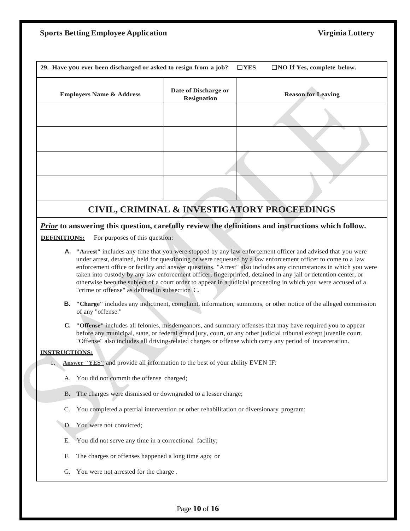| <b>Sports Betting Employee Application</b> |  |  |  |  |
|--------------------------------------------|--|--|--|--|
|--------------------------------------------|--|--|--|--|

|                      | 29. Have you ever been discharged or asked to resign from a job?                                                                                                                                                                                                                                                                        |                                            | $\Box$ NO If Yes, complete below.<br>$\square$ YES                                                                                                                                                                                                                                                                                                                                                                                                                                                                                                                                 |  |  |
|----------------------|-----------------------------------------------------------------------------------------------------------------------------------------------------------------------------------------------------------------------------------------------------------------------------------------------------------------------------------------|--------------------------------------------|------------------------------------------------------------------------------------------------------------------------------------------------------------------------------------------------------------------------------------------------------------------------------------------------------------------------------------------------------------------------------------------------------------------------------------------------------------------------------------------------------------------------------------------------------------------------------------|--|--|
|                      | <b>Employers Name &amp; Address</b>                                                                                                                                                                                                                                                                                                     | Date of Discharge or<br><b>Resignation</b> | <b>Reason for Leaving</b>                                                                                                                                                                                                                                                                                                                                                                                                                                                                                                                                                          |  |  |
|                      |                                                                                                                                                                                                                                                                                                                                         |                                            |                                                                                                                                                                                                                                                                                                                                                                                                                                                                                                                                                                                    |  |  |
|                      |                                                                                                                                                                                                                                                                                                                                         |                                            |                                                                                                                                                                                                                                                                                                                                                                                                                                                                                                                                                                                    |  |  |
|                      |                                                                                                                                                                                                                                                                                                                                         |                                            |                                                                                                                                                                                                                                                                                                                                                                                                                                                                                                                                                                                    |  |  |
|                      |                                                                                                                                                                                                                                                                                                                                         |                                            |                                                                                                                                                                                                                                                                                                                                                                                                                                                                                                                                                                                    |  |  |
|                      |                                                                                                                                                                                                                                                                                                                                         |                                            | CIVIL, CRIMINAL & INVESTIGATORY PROCEEDINGS                                                                                                                                                                                                                                                                                                                                                                                                                                                                                                                                        |  |  |
| DEFINITIONS:         | For purposes of this question:                                                                                                                                                                                                                                                                                                          |                                            | Prior to answering this question, carefully review the definitions and instructions which follow.                                                                                                                                                                                                                                                                                                                                                                                                                                                                                  |  |  |
|                      | "crime or offense" as defined in subsection C.                                                                                                                                                                                                                                                                                          |                                            | A. "Arrest" includes any time that you were stopped by any law enforcement officer and advised that you were<br>under arrest, detained, held for questioning or were requested by a law enforcement officer to come to a law<br>enforcement office or facility and answer questions. "Arrest" also includes any circumstances in which you were<br>taken into custody by any law enforcement officer, fingerprinted, detained in any jail or detention center, or<br>otherwise been the subject of a court order to appear in a judicial proceeding in which you were accused of a |  |  |
| В.                   | of any "offense."                                                                                                                                                                                                                                                                                                                       |                                            | "Charge" includes any indictment, complaint, information, summons, or other notice of the alleged commission                                                                                                                                                                                                                                                                                                                                                                                                                                                                       |  |  |
| $\mathbf{C}$ .       | "Offense" includes all felonies, misdemeanors, and summary offenses that may have required you to appear<br>before any municipal, state, or federal grand jury, court, or any other judicial tribunal except juvenile court.<br>"Offense" also includes all driving-related charges or offense which carry any period of incarceration. |                                            |                                                                                                                                                                                                                                                                                                                                                                                                                                                                                                                                                                                    |  |  |
| <b>INSTRUCTIONS:</b> |                                                                                                                                                                                                                                                                                                                                         |                                            |                                                                                                                                                                                                                                                                                                                                                                                                                                                                                                                                                                                    |  |  |
|                      | <b>Answer "YES"</b> and provide all information to the best of your ability EVEN IF:                                                                                                                                                                                                                                                    |                                            |                                                                                                                                                                                                                                                                                                                                                                                                                                                                                                                                                                                    |  |  |
| А.                   | You did not commit the offense charged;                                                                                                                                                                                                                                                                                                 |                                            |                                                                                                                                                                                                                                                                                                                                                                                                                                                                                                                                                                                    |  |  |
| B.                   | The charges were dismissed or downgraded to a lesser charge;                                                                                                                                                                                                                                                                            |                                            |                                                                                                                                                                                                                                                                                                                                                                                                                                                                                                                                                                                    |  |  |
| C.                   | You completed a pretrial intervention or other rehabilitation or diversionary program;                                                                                                                                                                                                                                                  |                                            |                                                                                                                                                                                                                                                                                                                                                                                                                                                                                                                                                                                    |  |  |
| D.                   | You were not convicted;                                                                                                                                                                                                                                                                                                                 |                                            |                                                                                                                                                                                                                                                                                                                                                                                                                                                                                                                                                                                    |  |  |
| Е.                   | You did not serve any time in a correctional facility;                                                                                                                                                                                                                                                                                  |                                            |                                                                                                                                                                                                                                                                                                                                                                                                                                                                                                                                                                                    |  |  |
| F.                   | The charges or offenses happened a long time ago; or                                                                                                                                                                                                                                                                                    |                                            |                                                                                                                                                                                                                                                                                                                                                                                                                                                                                                                                                                                    |  |  |
| G.                   | You were not arrested for the charge.                                                                                                                                                                                                                                                                                                   |                                            |                                                                                                                                                                                                                                                                                                                                                                                                                                                                                                                                                                                    |  |  |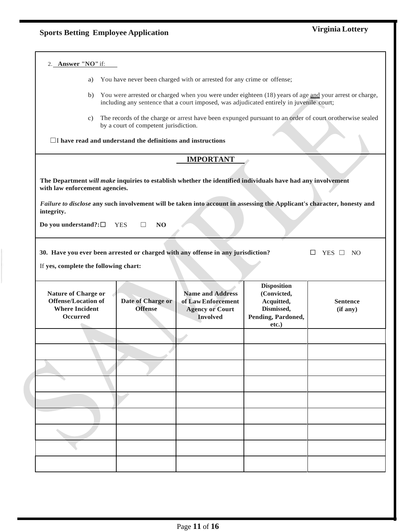| 2. Answer "NO" if:                                                                                                                                                                                                                                                                     |                                       |                                                                                            |                                                                                              |                                                                                                          |
|----------------------------------------------------------------------------------------------------------------------------------------------------------------------------------------------------------------------------------------------------------------------------------------|---------------------------------------|--------------------------------------------------------------------------------------------|----------------------------------------------------------------------------------------------|----------------------------------------------------------------------------------------------------------|
| You have never been charged with or arrested for any crime or offense;<br>a)                                                                                                                                                                                                           |                                       |                                                                                            |                                                                                              |                                                                                                          |
| b)                                                                                                                                                                                                                                                                                     |                                       | including any sentence that a court imposed, was adjudicated entirely in juvenile court;   |                                                                                              | You were arrested or charged when you were under eighteen (18) years of age and your arrest or charge,   |
| C)                                                                                                                                                                                                                                                                                     | by a court of competent jurisdiction. |                                                                                            |                                                                                              | The records of the charge or arrest have been expunged pursuant to an order of court or otherwise sealed |
| $\Box$ I have read and understand the definitions and instructions                                                                                                                                                                                                                     |                                       |                                                                                            |                                                                                              |                                                                                                          |
|                                                                                                                                                                                                                                                                                        |                                       | <b>IMPORTANT</b>                                                                           |                                                                                              |                                                                                                          |
| The Department will make inquiries to establish whether the identified individuals have had any involvement<br>with law enforcement agencies.<br>Failure to disclose any such involvement will be taken into account in assessing the Applicant's character, honesty and<br>integrity. |                                       |                                                                                            |                                                                                              |                                                                                                          |
| Do you understand?: $\square$                                                                                                                                                                                                                                                          | N <sub>O</sub><br><b>YES</b>          |                                                                                            |                                                                                              |                                                                                                          |
| 30. Have you ever been arrested or charged with any offense in any jurisdiction?<br>If yes, complete the following chart:                                                                                                                                                              |                                       |                                                                                            |                                                                                              | YES $\Box$ NO                                                                                            |
| <b>Nature of Charge or</b><br><b>Offense/Location of</b><br><b>Where Incident</b><br><b>Occurred</b>                                                                                                                                                                                   | Date of Charge or<br><b>Offense</b>   | <b>Name and Address</b><br>of Law Enforcement<br><b>Agency or Court</b><br><b>Involved</b> | <b>Disposition</b><br>(Convicted,<br>Acquitted,<br>Dismissed,<br>Pending, Pardoned,<br>etc.) | <b>Sentence</b><br>(if any)                                                                              |
|                                                                                                                                                                                                                                                                                        |                                       |                                                                                            |                                                                                              |                                                                                                          |
|                                                                                                                                                                                                                                                                                        |                                       |                                                                                            |                                                                                              |                                                                                                          |
|                                                                                                                                                                                                                                                                                        |                                       |                                                                                            |                                                                                              |                                                                                                          |
|                                                                                                                                                                                                                                                                                        |                                       |                                                                                            |                                                                                              |                                                                                                          |
|                                                                                                                                                                                                                                                                                        |                                       |                                                                                            |                                                                                              |                                                                                                          |
|                                                                                                                                                                                                                                                                                        |                                       |                                                                                            |                                                                                              |                                                                                                          |
|                                                                                                                                                                                                                                                                                        |                                       |                                                                                            |                                                                                              |                                                                                                          |
|                                                                                                                                                                                                                                                                                        |                                       |                                                                                            |                                                                                              |                                                                                                          |
|                                                                                                                                                                                                                                                                                        |                                       |                                                                                            |                                                                                              |                                                                                                          |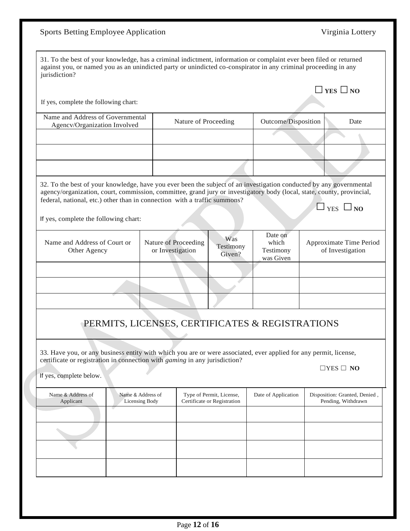| 31. To the best of your knowledge, has a criminal indictment, information or complaint ever been filed or returned<br>against you, or named you as an unindicted party or unindicted co-conspirator in any criminal proceeding in any<br>jurisdiction?                                                                                                              |                                     |                                          |                      |                                                         |                                                 |                                                     |
|---------------------------------------------------------------------------------------------------------------------------------------------------------------------------------------------------------------------------------------------------------------------------------------------------------------------------------------------------------------------|-------------------------------------|------------------------------------------|----------------------|---------------------------------------------------------|-------------------------------------------------|-----------------------------------------------------|
|                                                                                                                                                                                                                                                                                                                                                                     |                                     |                                          |                      |                                                         |                                                 | $\Box$ YES $\Box$ NO                                |
| If yes, complete the following chart:                                                                                                                                                                                                                                                                                                                               |                                     |                                          |                      |                                                         |                                                 |                                                     |
| Name and Address of Governmental<br>Agencv/Organization Involved                                                                                                                                                                                                                                                                                                    |                                     |                                          | Nature of Proceeding |                                                         | Outcome/Disposition                             | Date                                                |
|                                                                                                                                                                                                                                                                                                                                                                     |                                     |                                          |                      |                                                         |                                                 |                                                     |
|                                                                                                                                                                                                                                                                                                                                                                     |                                     |                                          |                      |                                                         |                                                 |                                                     |
|                                                                                                                                                                                                                                                                                                                                                                     |                                     |                                          |                      |                                                         |                                                 |                                                     |
| 32. To the best of your knowledge, have you ever been the subject of an investigation conducted by any governmental<br>agency/organization, court, commission, committee, grand jury or investigatory body (local, state, county, provincial,<br>federal, national, etc.) other than in connection with a traffic summons?<br>If yes, complete the following chart: |                                     |                                          |                      |                                                         |                                                 | $\Box$ YES $\Box$ NO                                |
| Name and Address of Court or<br>Other Agency                                                                                                                                                                                                                                                                                                                        |                                     | Nature of Proceeding<br>or Investigation |                      | Was<br>Testimony<br>Given?                              | Date on<br>which<br>Testimony<br>was Given      | Approximate Time Period<br>of Investigation         |
|                                                                                                                                                                                                                                                                                                                                                                     |                                     |                                          |                      |                                                         |                                                 |                                                     |
|                                                                                                                                                                                                                                                                                                                                                                     |                                     |                                          |                      |                                                         |                                                 |                                                     |
|                                                                                                                                                                                                                                                                                                                                                                     |                                     |                                          |                      |                                                         |                                                 |                                                     |
|                                                                                                                                                                                                                                                                                                                                                                     |                                     |                                          |                      |                                                         | PERMITS, LICENSES, CERTIFICATES & REGISTRATIONS |                                                     |
| 33. Have you, or any business entity with which you are or were associated, ever applied for any permit, license,<br>certificate or registration in connection with gaming in any jurisdiction?<br>If yes, complete below.                                                                                                                                          |                                     |                                          |                      |                                                         |                                                 | $\Box$ YES $\Box$ NO                                |
| Name & Address of<br>Applicant                                                                                                                                                                                                                                                                                                                                      | Name & Address of<br>Licensing Body |                                          |                      | Type of Permit, License,<br>Certificate or Registration | Date of Application                             | Disposition: Granted, Denied,<br>Pending, Withdrawn |
|                                                                                                                                                                                                                                                                                                                                                                     |                                     |                                          |                      |                                                         |                                                 |                                                     |
|                                                                                                                                                                                                                                                                                                                                                                     |                                     |                                          |                      |                                                         |                                                 |                                                     |
|                                                                                                                                                                                                                                                                                                                                                                     |                                     |                                          |                      |                                                         |                                                 |                                                     |
|                                                                                                                                                                                                                                                                                                                                                                     |                                     |                                          |                      |                                                         |                                                 |                                                     |
|                                                                                                                                                                                                                                                                                                                                                                     |                                     |                                          |                      |                                                         |                                                 |                                                     |

Sports Betting Employee Application Virginia Lottery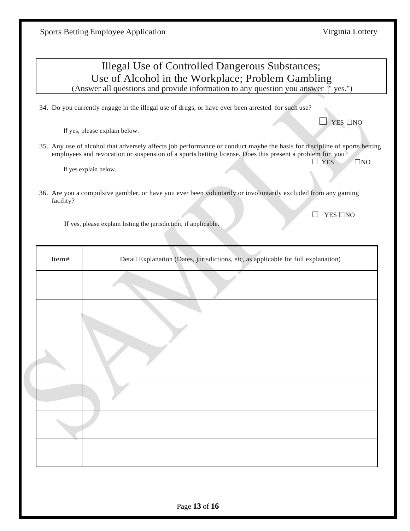|                                                   | <b>Illegal Use of Controlled Dangerous Substances;</b>                                                                                                                                                                                                              |  |  |  |
|---------------------------------------------------|---------------------------------------------------------------------------------------------------------------------------------------------------------------------------------------------------------------------------------------------------------------------|--|--|--|
| Use of Alcohol in the Workplace; Problem Gambling |                                                                                                                                                                                                                                                                     |  |  |  |
|                                                   | (Answer all questions and provide information to any question you answer "yes.")                                                                                                                                                                                    |  |  |  |
|                                                   | 34. Do you currently engage in the illegal use of drugs, or have ever been arrested for such use?                                                                                                                                                                   |  |  |  |
|                                                   | <b>YES</b> □NO<br>If yes, please explain below.                                                                                                                                                                                                                     |  |  |  |
|                                                   | 35. Any use of alcohol that adversely affects job performance or conduct maybe the basis for discipline of sports betting<br>employees and revocation or suspension of a sports betting license. Does this present a problem for you?<br><b>YES</b><br>$\square$ NO |  |  |  |
|                                                   | If yes explain below.                                                                                                                                                                                                                                               |  |  |  |
| facility?                                         | 36. Are you a compulsive gambler, or have you ever been voluntarily or involuntarily excluded from any gaming                                                                                                                                                       |  |  |  |
|                                                   | <b>YES</b> □NO<br>If yes, please explain listing the jurisdiction, if applicable.                                                                                                                                                                                   |  |  |  |
|                                                   |                                                                                                                                                                                                                                                                     |  |  |  |
| Item#                                             | Detail Explanation (Dates, jurisdictions, etc, as applicable for full explanation)                                                                                                                                                                                  |  |  |  |
|                                                   |                                                                                                                                                                                                                                                                     |  |  |  |
|                                                   |                                                                                                                                                                                                                                                                     |  |  |  |
|                                                   |                                                                                                                                                                                                                                                                     |  |  |  |
|                                                   |                                                                                                                                                                                                                                                                     |  |  |  |
|                                                   |                                                                                                                                                                                                                                                                     |  |  |  |
|                                                   |                                                                                                                                                                                                                                                                     |  |  |  |
|                                                   |                                                                                                                                                                                                                                                                     |  |  |  |
|                                                   |                                                                                                                                                                                                                                                                     |  |  |  |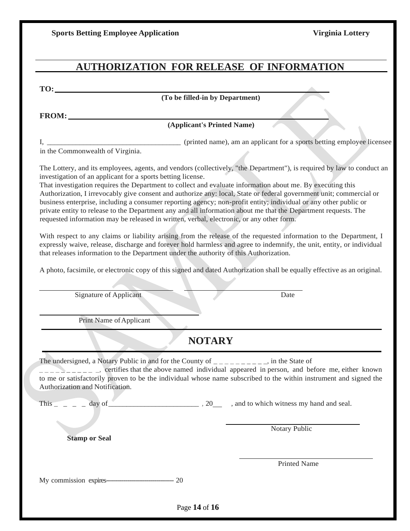|  |  |  | <b>Sports Betting Employee Application</b> |
|--|--|--|--------------------------------------------|
|--|--|--|--------------------------------------------|

# **AUTHORIZATION FOR RELEASE OF INFORMATION**

**TO:**

**(To be filled-in by Department)**

**FROM:**

# **(Applicant's Printed Name)**

I, \_\_\_\_\_\_\_\_\_\_\_\_\_\_\_\_\_\_\_\_\_\_\_\_\_\_\_\_\_\_\_\_\_\_\_\_\_ (printed name), am an applicant for a sports betting employee licensee

<sup>1</sup>, <u>in the Commonwealth of Virginia.</u>

The Lottery, and its employees, agents, and vendors (collectively, "the Department"), is required by law to conduct an investigation of an applicant for a sports betting license.

That investigation requires the Department to collect and evaluate information about me. By executing this Authorization, I irrevocably give consent and authorize any: local, State or federal government unit; commercial or business enterprise, including a consumer reporting agency; non-profit entity; individual or any other public or private entity to release to the Department any and all information about me that the Department requests. The requested information may be released in written, verbal, electronic, or any other form.

With respect to any claims or liability arising from the release of the requested information to the Department, I expressly waive, release, discharge and forever hold harmless and agree to indemnify, the unit, entity, or individual that releases information to the Department under the authority of this Authorization.

A photo, facsimile, or electronic copy of this signed and dated Authorization shall be equally effective as an original.

Signature of Applicant Date

Print Name of Applicant

# **NOTARY**

The undersigned, a Notary Public in and for the County of  $\frac{1}{1}$  =  $\frac{1}{1}$  =  $\frac{1}{1}$  =  $\frac{1}{1}$ , in the State of

 $\Box$   $\Box$   $\Box$   $\Box$   $\Box$   $\Box$  certifies that the above named individual appeared in person, and before me, either known to me or satisfactorily proven to be the individual whose name subscribed to the within instrument and signed the Authorization and Notification.

This \_ \_ \_ \_ day of\_\_\_\_\_\_\_\_\_\_\_\_\_\_\_\_\_\_\_\_\_\_\_\_\_ , 20 , and to which witness my hand and seal.

**Stamp or Seal**

Notary Public

Printed Name

My commission expires----------------------------------- 20

Page **14** of **16**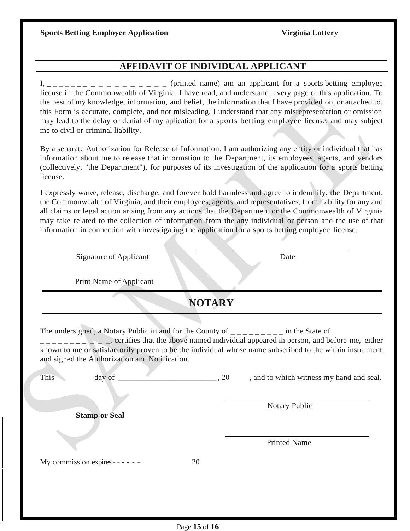# **AFFIDAVIT OF INDIVIDUAL APPLICANT**

I, \_\_\_\_\_\_\_ \_ \_ \_ \_ \_ \_ \_ \_ \_ (printed name) am an applicant for a sports betting employee license in the Commonwealth of Virginia. I have read, and understand, every page of this application. To the best of my knowledge, information, and belief, the information that I have provided on, or attached to, this Form is accurate, complete, and not misleading. I understand that any misrepresentation or omission may lead to the delay or denial of my aplication for a sports betting employee license, and may subject me to civil or criminal liability.

By a separate Authorization for Release of Information, I am authorizing any entity or individual that has information about me to release that information to the Department, its employees, agents, and vendors (collectively, "the Department"), for purposes of its investigation of the application for a sports betting license.

I expressly waive, release, discharge, and forever hold harmless and agree to indemnify, the Department, the Commonwealth of Virginia, and their employees, agents, and representatives, from liability for any and all claims or legal action arising from any actions that the Department or the Commonwealth of Virginia may take related to the collection of information from the any individual or person and the use of that information in connection with investigating the application for a sports betting employee license.

Signature of Applicant Date

Print Name of Applicant

**NOTARY**

The undersigned, a Notary Public in and for the County of  $\frac{1}{2}$  =  $\frac{1}{2}$  =  $\frac{1}{2}$  =  $\frac{1}{2}$  in the State of

 $\Box$ , certifies that the above named individual appeared in person, and before me, either known to me or satisfactorily proven to be the individual whose name subscribed to the within instrument and signed the Authorization and Notification.

| This<br>day of                    | 20 | , and to which witness my hand and seal. |
|-----------------------------------|----|------------------------------------------|
| <b>Stamp or Seal</b>              |    | Notary Public                            |
|                                   |    | <b>Printed Name</b>                      |
| My commission expires - - - - - - | 20 |                                          |